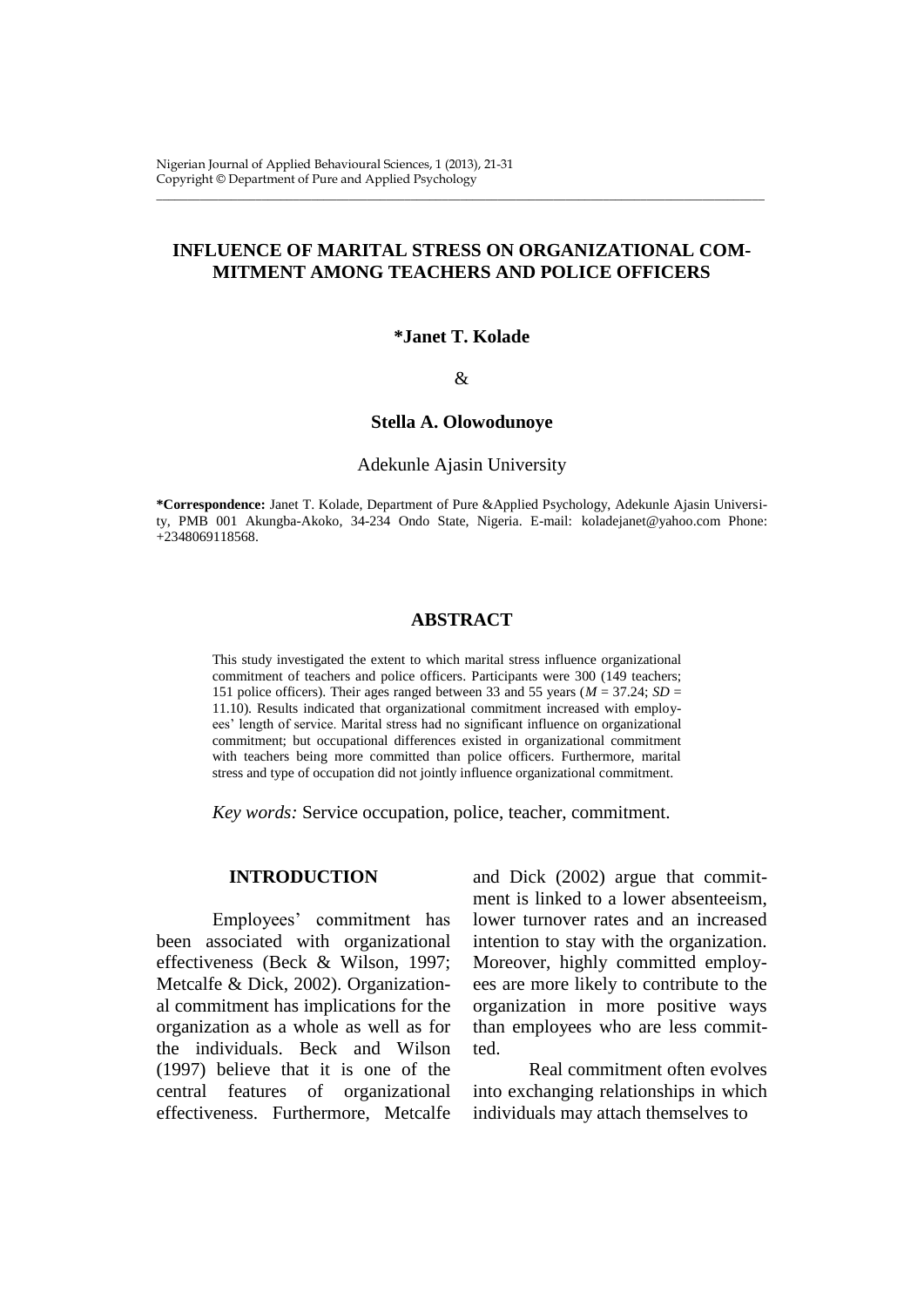# **INFLUENCE OF MARITAL STRESS ON ORGANIZATIONAL COM-MITMENT AMONG TEACHERS AND POLICE OFFICERS**

\_\_\_\_\_\_\_\_\_\_\_\_\_\_\_\_\_\_\_\_\_\_\_\_\_\_\_\_\_\_\_\_\_\_\_\_\_\_\_\_\_\_\_\_\_\_\_\_\_\_\_\_\_\_\_\_\_\_\_\_\_\_\_\_\_\_\_\_\_\_\_\_\_\_\_\_\_\_\_\_\_\_\_\_\_\_\_\_\_\_\_\_\_\_\_\_\_\_

### **\*Janet T. Kolade**

#### &

### **Stella A. Olowodunoye**

### Adekunle Ajasin University

**\*Correspondence:** Janet T. Kolade, Department of Pure &Applied Psychology, Adekunle Ajasin University, PMB 001 Akungba-Akoko, 34-234 Ondo State, Nigeria. E-mail: [koladejanet@](mailto:koladejanet)yahoo.com Phone: +2348069118568.

### **ABSTRACT**

This study investigated the extent to which marital stress influence organizational commitment of teachers and police officers. Participants were 300 (149 teachers; 151 police officers). Their ages ranged between 33 and 55 years ( $M = 37.24$ ;  $SD =$ 11.10). Results indicated that organizational commitment increased with employees' length of service. Marital stress had no significant influence on organizational commitment; but occupational differences existed in organizational commitment with teachers being more committed than police officers. Furthermore, marital stress and type of occupation did not jointly influence organizational commitment.

*Key words:* Service occupation, police, teacher, commitment.

## **INTRODUCTION**

Employees' commitment has been associated with organizational effectiveness (Beck & Wilson, 1997; Metcalfe & Dick, 2002). Organizational commitment has implications for the organization as a whole as well as for the individuals. Beck and Wilson (1997) believe that it is one of the central features of organizational effectiveness. Furthermore, Metcalfe

and Dick (2002) argue that commitment is linked to a lower absenteeism, lower turnover rates and an increased intention to stay with the organization. Moreover, highly committed employees are more likely to contribute to the organization in more positive ways than employees who are less committed.

Real commitment often evolves into exchanging relationships in which individuals may attach themselves to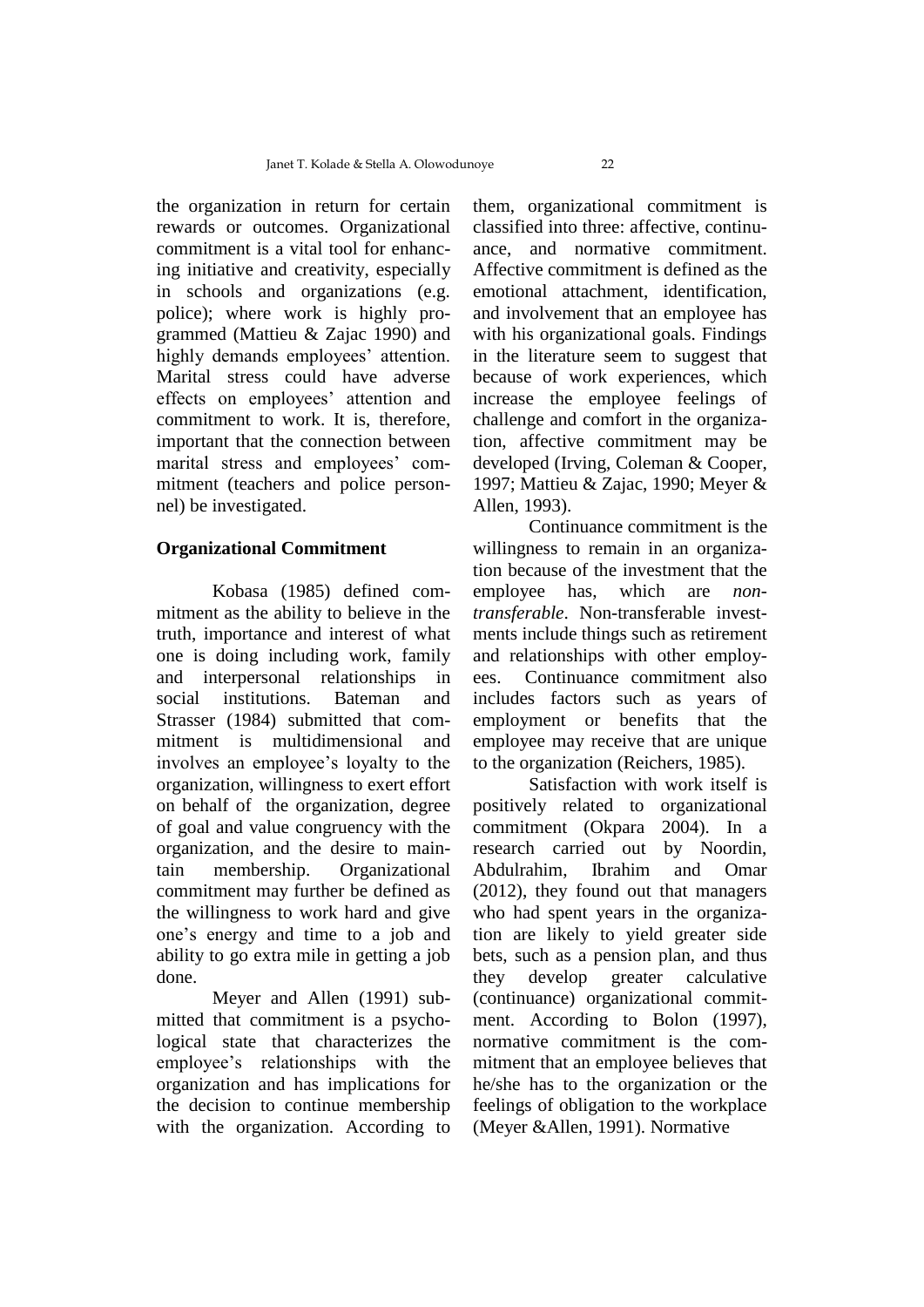the organization in return for certain rewards or outcomes. Organizational commitment is a vital tool for enhancing initiative and creativity, especially in schools and organizations (e.g. police); where work is highly programmed (Mattieu & Zajac 1990) and highly demands employees' attention. Marital stress could have adverse effects on employees' attention and commitment to work. It is, therefore, important that the connection between marital stress and employees' commitment (teachers and police personnel) be investigated.

### **Organizational Commitment**

Kobasa (1985) defined commitment as the ability to believe in the truth, importance and interest of what one is doing including work, family and interpersonal relationships in social institutions. Bateman and Strasser (1984) submitted that commitment is multidimensional and involves an employee's loyalty to the organization, willingness to exert effort on behalf of the organization, degree of goal and value congruency with the organization, and the desire to maintain membership. Organizational commitment may further be defined as the willingness to work hard and give one's energy and time to a job and ability to go extra mile in getting a job done.

Meyer and Allen (1991) submitted that commitment is a psychological state that characterizes the employee's relationships with the organization and has implications for the decision to continue membership with the organization. According to

them, organizational commitment is classified into three: affective, continuance, and normative commitment. Affective commitment is defined as the emotional attachment, identification, and involvement that an employee has with his organizational goals. Findings in the literature seem to suggest that because of work experiences, which increase the employee feelings of challenge and comfort in the organization, affective commitment may be developed (Irving, Coleman & Cooper, 1997; Mattieu & Zajac, 1990; Meyer & Allen, 1993).

Continuance commitment is the willingness to remain in an organization because of the investment that the employee has, which are *nontransferable*. Non-transferable investments include things such as retirement and relationships with other employees. Continuance commitment also includes factors such as years of employment or benefits that the employee may receive that are unique to the organization (Reichers, 1985).

Satisfaction with work itself is positively related to organizational commitment (Okpara 2004). In a research carried out by Noordin, Abdulrahim, Ibrahim and Omar (2012), they found out that managers who had spent years in the organization are likely to yield greater side bets, such as a pension plan, and thus they develop greater calculative (continuance) organizational commitment. According to Bolon (1997), normative commitment is the commitment that an employee believes that he/she has to the organization or the feelings of obligation to the workplace (Meyer &Allen, 1991). Normative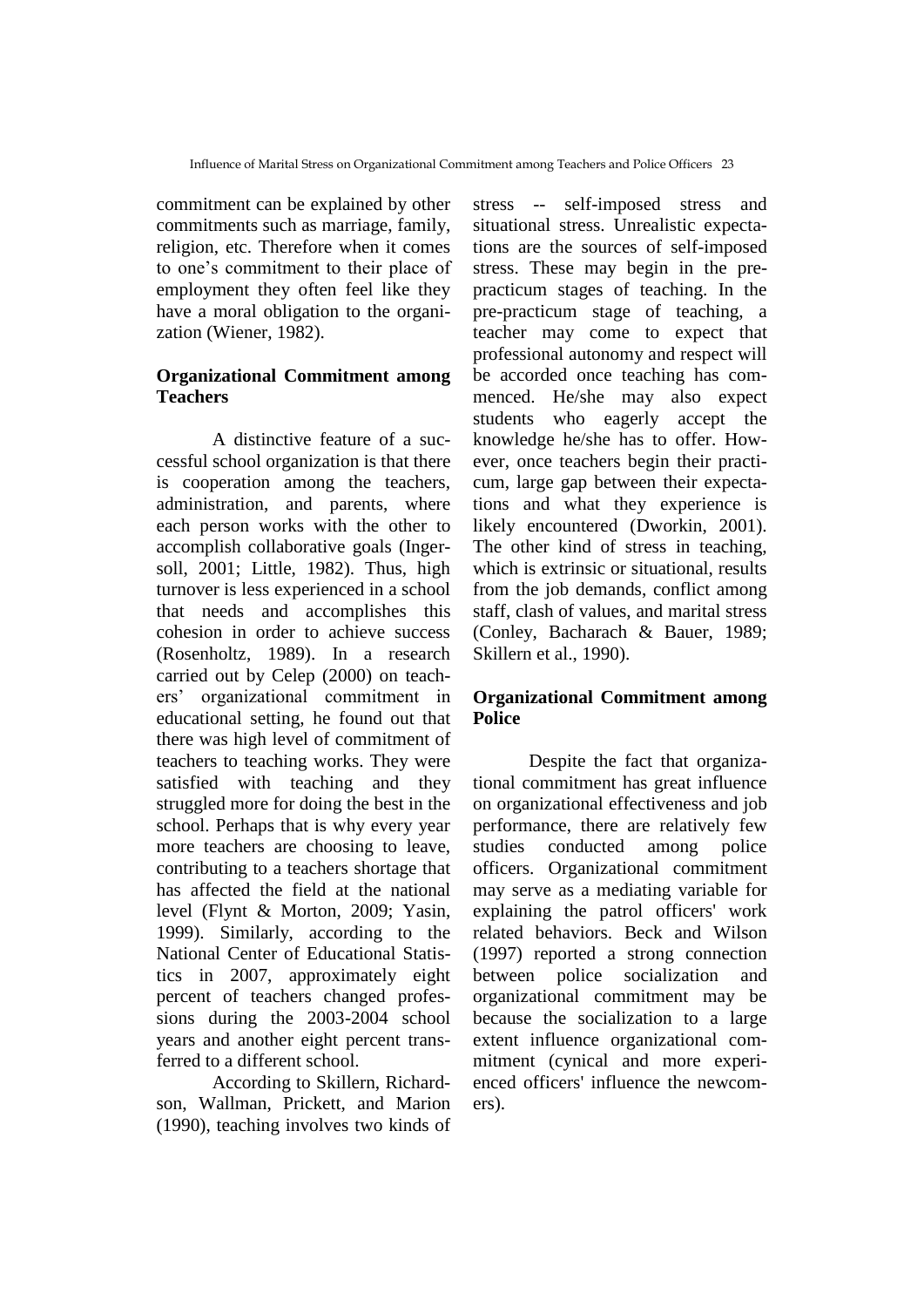commitment can be explained by other commitments such as marriage, family, religion, etc. Therefore when it comes to one's commitment to their place of employment they often feel like they have a moral obligation to the organization (Wiener, 1982).

## **Organizational Commitment among Teachers**

A distinctive feature of a successful school organization is that there is cooperation among the teachers, administration, and parents, where each person works with the other to accomplish collaborative goals (Ingersoll, 2001; Little, 1982). Thus, high turnover is less experienced in a school that needs and accomplishes this cohesion in order to achieve success (Rosenholtz, 1989). In a research carried out by Celep (2000) on teachers' organizational commitment in educational setting, he found out that there was high level of commitment of teachers to teaching works. They were satisfied with teaching and they struggled more for doing the best in the school. Perhaps that is why every year more teachers are choosing to leave, contributing to a teachers shortage that has affected the field at the national level (Flynt & Morton, 2009; Yasin, 1999). Similarly, according to the National Center of Educational Statistics in 2007, approximately eight percent of teachers changed professions during the 2003-2004 school years and another eight percent transferred to a different school.

According to Skillern, Richardson, Wallman, Prickett, and Marion (1990), teaching involves two kinds of

stress -- self-imposed stress and situational stress. Unrealistic expectations are the sources of self-imposed stress. These may begin in the prepracticum stages of teaching. In the pre-practicum stage of teaching, a teacher may come to expect that professional autonomy and respect will be accorded once teaching has commenced. He/she may also expect students who eagerly accept the knowledge he/she has to offer. However, once teachers begin their practicum, large gap between their expectations and what they experience is likely encountered (Dworkin, 2001). The other kind of stress in teaching, which is extrinsic or situational, results from the job demands, conflict among staff, clash of values, and marital stress (Conley, Bacharach & Bauer, 1989; Skillern et al., 1990).

# **Organizational Commitment among Police**

Despite the fact that organizational commitment has great influence on organizational effectiveness and job performance, there are relatively few studies conducted among police officers. Organizational commitment may serve as a mediating variable for explaining the patrol officers' work related behaviors. Beck and Wilson (1997) reported a strong connection between police socialization and organizational commitment may be because the socialization to a large extent influence organizational commitment (cynical and more experienced officers' influence the newcomers).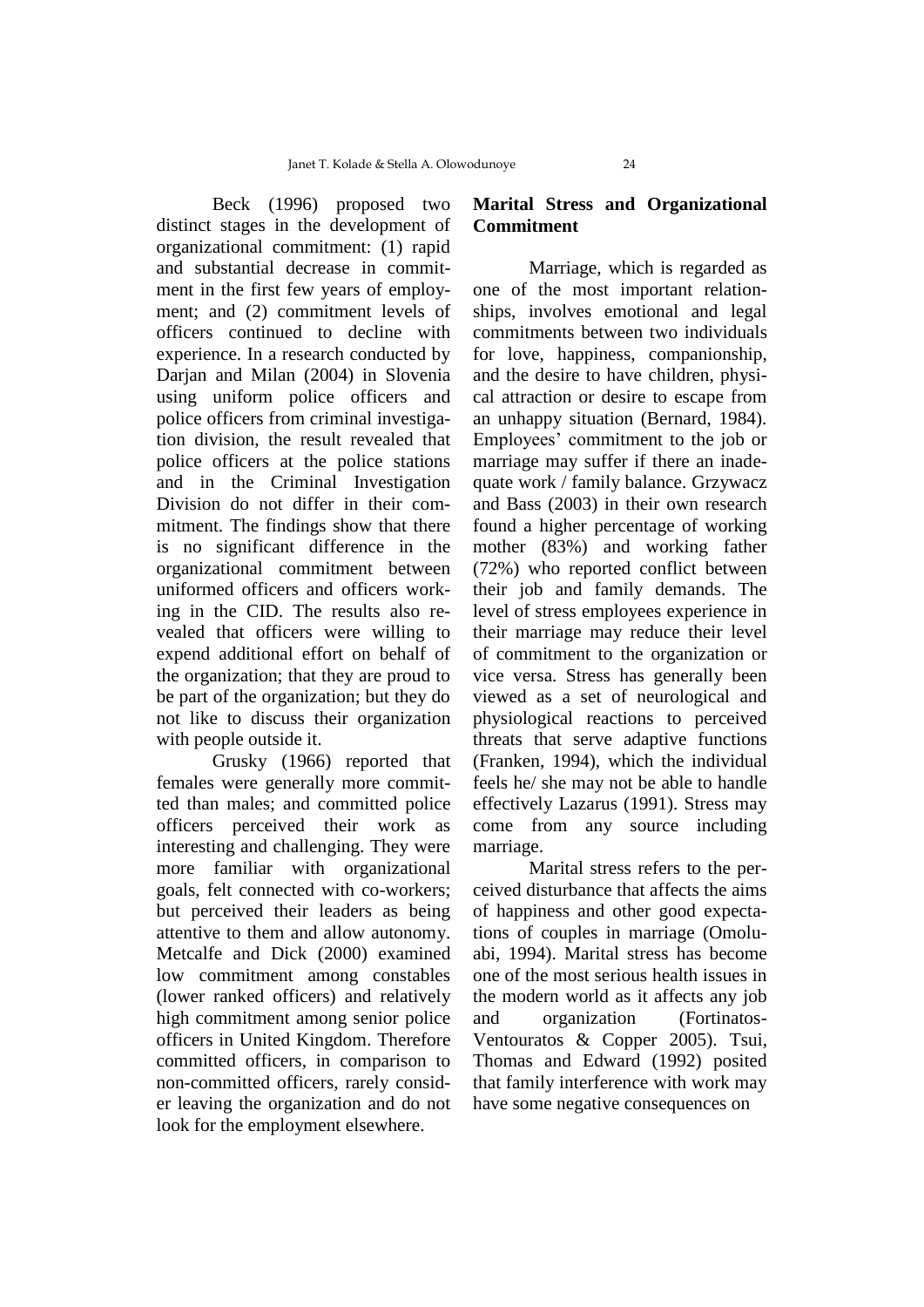Beck (1996) proposed two distinct stages in the development of organizational commitment: (1) rapid and substantial decrease in commitment in the first few years of employment; and (2) commitment levels of officers continued to decline with experience. In a research conducted by Darjan and Milan (2004) in Slovenia using uniform police officers and police officers from criminal investigation division, the result revealed that police officers at the police stations and in the Criminal Investigation Division do not differ in their commitment. The findings show that there is no significant difference in the organizational commitment between uniformed officers and officers working in the CID. The results also revealed that officers were willing to expend additional effort on behalf of the organization; that they are proud to be part of the organization; but they do not like to discuss their organization with people outside it.

Grusky (1966) reported that females were generally more committed than males; and committed police officers perceived their work as interesting and challenging. They were more familiar with organizational goals, felt connected with co-workers; but perceived their leaders as being attentive to them and allow autonomy. Metcalfe and Dick (2000) examined low commitment among constables (lower ranked officers) and relatively high commitment among senior police officers in United Kingdom. Therefore committed officers, in comparison to non-committed officers, rarely consider leaving the organization and do not look for the employment elsewhere.

# **Marital Stress and Organizational Commitment**

Marriage, which is regarded as one of the most important relationships, involves emotional and legal commitments between two individuals for love, happiness, companionship, and the desire to have children, physical attraction or desire to escape from an unhappy situation (Bernard, 1984). Employees' commitment to the job or marriage may suffer if there an inadequate work / family balance. Grzywacz and Bass (2003) in their own research found a higher percentage of working mother (83%) and working father (72%) who reported conflict between their job and family demands. The level of stress employees experience in their marriage may reduce their level of commitment to the organization or vice versa. Stress has generally been viewed as a set of neurological and physiological reactions to perceived threats that serve adaptive functions (Franken, 1994), which the individual feels he/ she may not be able to handle effectively Lazarus (1991). Stress may come from any source including marriage.

Marital stress refers to the perceived disturbance that affects the aims of happiness and other good expectations of couples in marriage (Omoluabi, 1994). Marital stress has become one of the most serious health issues in the modern world as it affects any job and organization (Fortinatos-Ventouratos & Copper 2005). Tsui, Thomas and Edward (1992) posited that family interference with work may have some negative consequences on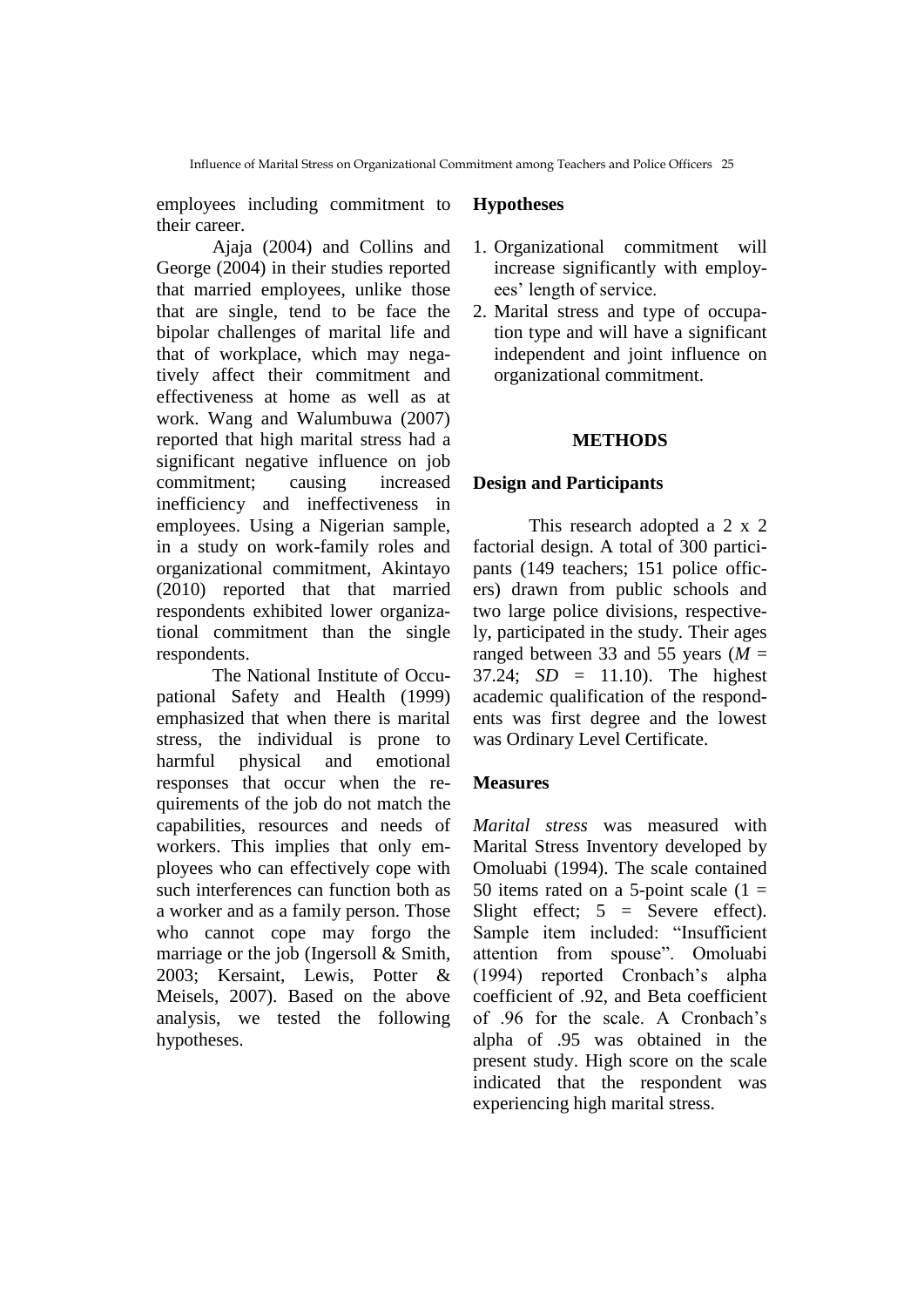employees including commitment to their career.

Ajaja (2004) and Collins and George (2004) in their studies reported that married employees, unlike those that are single, tend to be face the bipolar challenges of marital life and that of workplace, which may negatively affect their commitment and effectiveness at home as well as at work. Wang and Walumbuwa (2007) reported that high marital stress had a significant negative influence on job commitment; causing increased inefficiency and ineffectiveness in employees. Using a Nigerian sample, in a study on work-family roles and organizational commitment, Akintayo (2010) reported that that married respondents exhibited lower organizational commitment than the single respondents.

The National Institute of Occupational Safety and Health (1999) emphasized that when there is marital stress, the individual is prone to harmful physical and emotional responses that occur when the requirements of the job do not match the capabilities, resources and needs of workers. This implies that only employees who can effectively cope with such interferences can function both as a worker and as a family person. Those who cannot cope may forgo the marriage or the job (Ingersoll & Smith, 2003; Kersaint, Lewis, Potter & Meisels, 2007). Based on the above analysis, we tested the following hypotheses.

# **Hypotheses**

- 1. Organizational commitment will increase significantly with employees' length of service.
- 2. Marital stress and type of occupation type and will have a significant independent and joint influence on organizational commitment.

# **METHODS**

## **Design and Participants**

This research adopted a 2 x 2 factorial design. A total of 300 participants (149 teachers; 151 police officers) drawn from public schools and two large police divisions, respectively, participated in the study. Their ages ranged between 33 and 55 years ( $M =$ 37.24; *SD* = 11.10). The highest academic qualification of the respondents was first degree and the lowest was Ordinary Level Certificate.

# **Measures**

*Marital stress* was measured with Marital Stress Inventory developed by Omoluabi (1994). The scale contained 50 items rated on a 5-point scale  $(1 =$ Slight effect;  $5 =$  Severe effect). Sample item included: "Insufficient attention from spouse". Omoluabi (1994) reported Cronbach's alpha coefficient of .92, and Beta coefficient of .96 for the scale. A Cronbach's alpha of .95 was obtained in the present study. High score on the scale indicated that the respondent was experiencing high marital stress.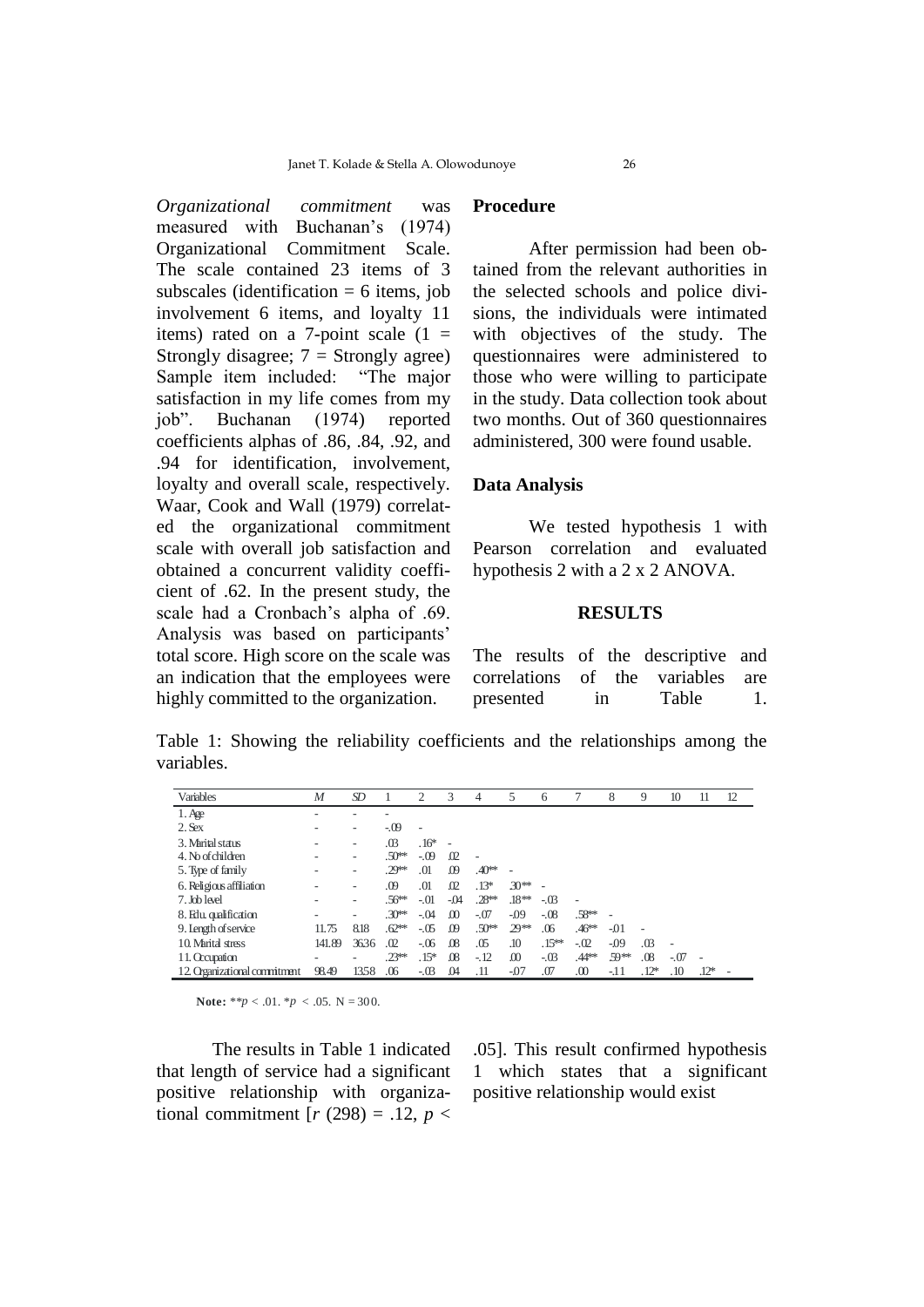*Organizational commitment* was measured with Buchanan's (1974) Organizational Commitment Scale. The scale contained 23 items of 3 subscales (identification  $= 6$  items, job involvement 6 items, and loyalty 11 items) rated on a 7-point scale  $(1 =$ Strongly disagree;  $7 =$  Strongly agree) Sample item included: "The major satisfaction in my life comes from my job". Buchanan (1974) reported coefficients alphas of .86, .84, .92, and .94 for identification, involvement, loyalty and overall scale, respectively. Waar, Cook and Wall (1979) correlated the organizational commitment scale with overall job satisfaction and obtained a concurrent validity coefficient of .62. In the present study, the scale had a Cronbach's alpha of .69. Analysis was based on participants' total score. High score on the scale was an indication that the employees were highly committed to the organization.

### **Procedure**

After permission had been obtained from the relevant authorities in the selected schools and police divisions, the individuals were intimated with objectives of the study. The questionnaires were administered to those who were willing to participate in the study. Data collection took about two months. Out of 360 questionnaires administered, 300 were found usable.

## **Data Analysis**

We tested hypothesis 1 with Pearson correlation and evaluated hypothesis 2 with a 2 x 2 ANOVA.

#### **RESULTS**

The results of the descriptive and correlations of the variables are presented in Table 1.

Table 1: Showing the reliability coefficients and the relationships among the variables.

| Variables                     | M      | SD   |                   | 2                        | 3        | 4                    | 5        | 6        |                      | 8      | 9      | 10     | 11     | 12 |
|-------------------------------|--------|------|-------------------|--------------------------|----------|----------------------|----------|----------|----------------------|--------|--------|--------|--------|----|
| $1.$ Age                      | ۰      |      |                   |                          |          |                      |          |          |                      |        |        |        |        |    |
| $2.$ Sex                      |        | ۰    | $-0.09$           | $\overline{\phantom{a}}$ |          |                      |          |          |                      |        |        |        |        |    |
| 3. Marital status             |        | ۰    | .03               | $.16*$                   | ÷        |                      |          |          |                      |        |        |        |        |    |
| 4. No of children             |        | -    | .50 <sup>5</sup>  | $-.09$                   | $\Omega$ |                      |          |          |                      |        |        |        |        |    |
| 5. Type of family             |        | -    | $.29**$           | .01                      | $\omega$ | $.40**$              |          |          |                      |        |        |        |        |    |
| 6. Religious affiliation      |        | -    | .09               | .01                      | $\Omega$ | $.13*$               | $30**$   |          |                      |        |        |        |        |    |
| 7. Job level                  |        | ۰    | $.56^{\text{ls}}$ | $-.01$                   | -04      | $.28$ <sup>ick</sup> | $.18**$  | $-.03$   | ٠                    |        |        |        |        |    |
| 8. Edu. qualification         |        | -    | .30 <sup>5</sup>  | $-.04$                   | $\Omega$ | $-.07$               | $-0.09$  | $-.08$   | $.58$ <sup>tok</sup> | ٠      |        |        |        |    |
| 9. Length of service          | 11.75  | 8.18 | .62               | $-.05$                   | .09      | $.50$ iok            | $29**$   | .06      | $.46$ iok            | $-01$  |        |        |        |    |
| 10 Marital stress             | 141.89 | 3636 | .02               | $-06$                    | $\Omega$ | .05                  | .10      | $.15***$ | $-.02$               | $-0.9$ | .03    | ÷      |        |    |
| 11. Occupation                |        | -    | .23               | $.15*$                   | $\Omega$ | $-12$                | $\omega$ | $-.03$   | $.44***$             | 59**   | .08    | $-.07$ |        |    |
| 12. Organizational commitment | 98.49  | 1358 | .06               | $-.03$                   | .04      | .11                  | -07      | .07      | .00                  | $-11$  | $.12*$ | .10    | $.12*$ |    |

**Note:** \*\**p* < .01. \**p* < .05. N = 300.

that length of service had a significant 1 which states that a significant positive relationship with organiza- pos The results in Table 1 indicated tional commitment  $[r (298) = .12, p <$ 

The results in Table 1 indicated .05]. This result confirmed hypothesis 1 which states that a significant positive relationship would exist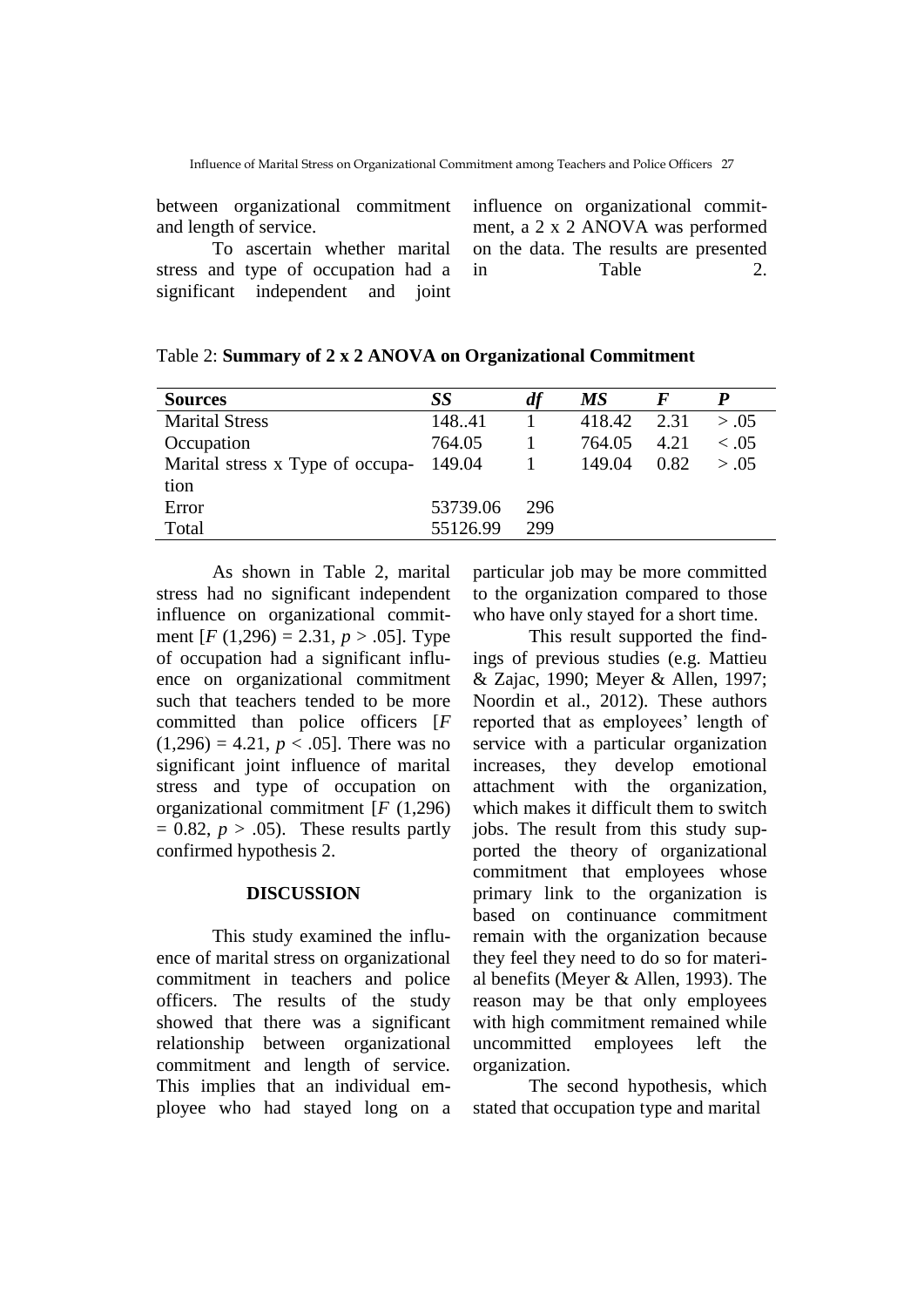between organizational commitment and length of service.

To ascertain whether marital stress and type of occupation had a significant independent and joint

influence on organizational commitment, a 2 x 2 ANOVA was performed on the data. The results are presented in Table 2.

| <b>Sources</b>                          | SS       | df  | МS     |      |             |
|-----------------------------------------|----------|-----|--------|------|-------------|
| <b>Marital Stress</b>                   | 148.41   |     | 418.42 | 2.31 | > 0.05      |
| Occupation                              | 764.05   |     | 764.05 | 4.21 | $\leq 0.05$ |
| Marital stress x Type of occupa- 149.04 |          |     | 149.04 | 0.82 | > 0.05      |
| tion                                    |          |     |        |      |             |
| Error                                   | 53739.06 | 296 |        |      |             |
| Total                                   | 55126.99 | 299 |        |      |             |

As shown in Table 2, marital stress had no significant independent influence on organizational commitment  $[F (1,296) = 2.31, p > .05]$ . Type of occupation had a significant influence on organizational commitment such that teachers tended to be more committed than police officers [*F*  $(1,296) = 4.21, p < .05$ . There was no significant joint influence of marital stress and type of occupation on organizational commitment [*F* (1,296)  $= 0.82, p > .05$ . These results partly confirmed hypothesis 2.

## **DISCUSSION**

This study examined the influence of marital stress on organizational commitment in teachers and police officers. The results of the study showed that there was a significant relationship between organizational commitment and length of service. This implies that an individual employee who had stayed long on a

particular job may be more committed to the organization compared to those who have only stayed for a short time.

This result supported the findings of previous studies (e.g. Mattieu & Zajac, 1990; Meyer & Allen, 1997; Noordin et al., 2012). These authors reported that as employees' length of service with a particular organization increases, they develop emotional attachment with the organization, which makes it difficult them to switch jobs. The result from this study supported the theory of organizational commitment that employees whose primary link to the organization is based on continuance commitment remain with the organization because they feel they need to do so for material benefits (Meyer & Allen, 1993). The reason may be that only employees with high commitment remained while uncommitted employees left the organization.

The second hypothesis, which stated that occupation type and marital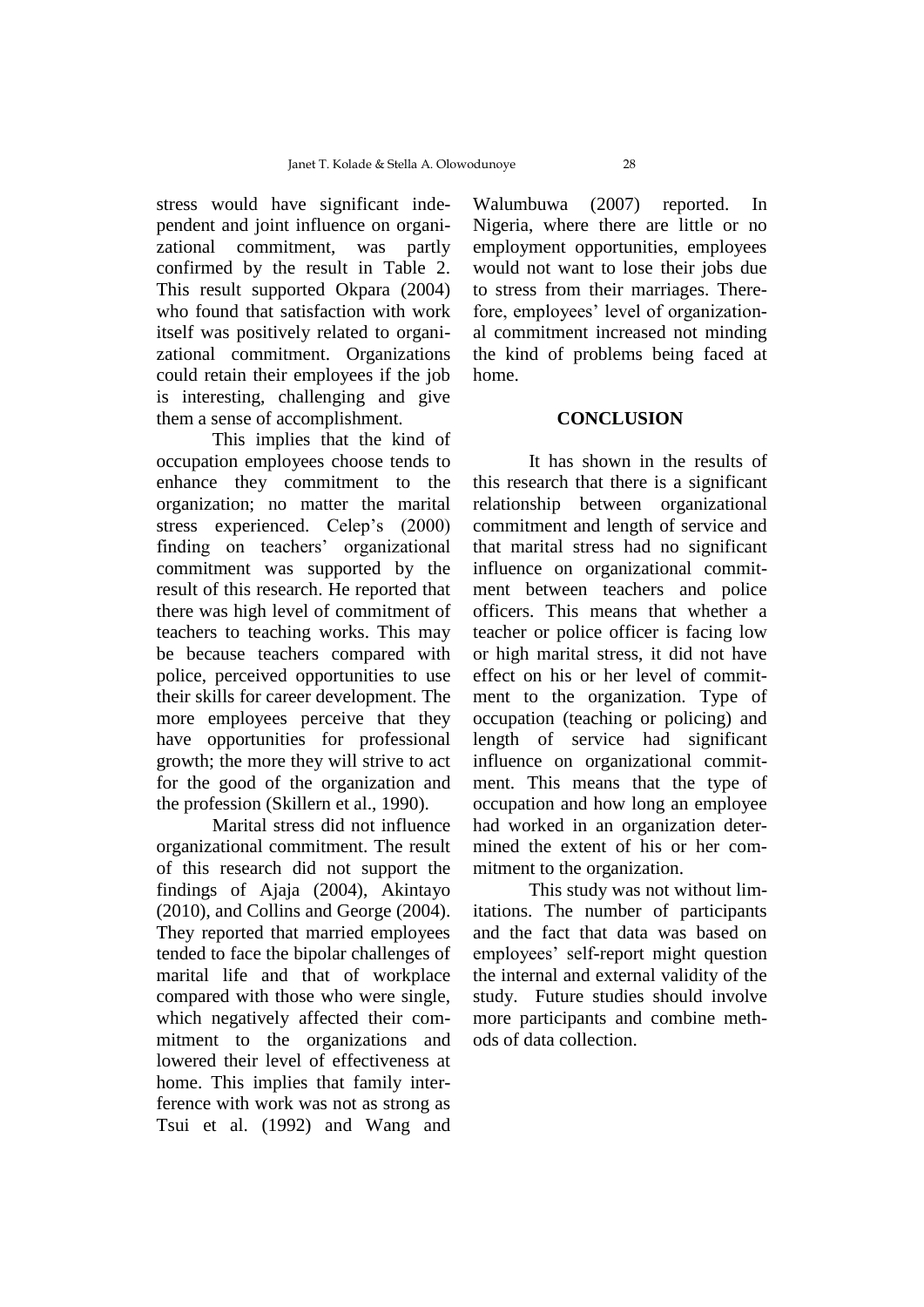stress would have significant independent and joint influence on organizational commitment, was partly confirmed by the result in Table 2. This result supported Okpara (2004) who found that satisfaction with work itself was positively related to organizational commitment. Organizations could retain their employees if the job is interesting, challenging and give them a sense of accomplishment.

This implies that the kind of occupation employees choose tends to enhance they commitment to the organization; no matter the marital stress experienced. Celep's (2000) finding on teachers' organizational commitment was supported by the result of this research. He reported that there was high level of commitment of teachers to teaching works. This may be because teachers compared with police, perceived opportunities to use their skills for career development. The more employees perceive that they have opportunities for professional growth; the more they will strive to act for the good of the organization and the profession (Skillern et al., 1990).

Marital stress did not influence organizational commitment. The result of this research did not support the findings of Ajaja (2004), Akintayo (2010), and Collins and George (2004). They reported that married employees tended to face the bipolar challenges of marital life and that of workplace compared with those who were single, which negatively affected their commitment to the organizations and lowered their level of effectiveness at home. This implies that family interference with work was not as strong as Tsui et al. (1992) and Wang and

Walumbuwa (2007) reported. In Nigeria, where there are little or no employment opportunities, employees would not want to lose their jobs due to stress from their marriages. Therefore, employees' level of organizational commitment increased not minding the kind of problems being faced at home.

### **CONCLUSION**

It has shown in the results of this research that there is a significant relationship between organizational commitment and length of service and that marital stress had no significant influence on organizational commitment between teachers and police officers. This means that whether a teacher or police officer is facing low or high marital stress, it did not have effect on his or her level of commitment to the organization. Type of occupation (teaching or policing) and length of service had significant influence on organizational commitment. This means that the type of occupation and how long an employee had worked in an organization determined the extent of his or her commitment to the organization.

This study was not without limitations. The number of participants and the fact that data was based on employees' self-report might question the internal and external validity of the study. Future studies should involve more participants and combine methods of data collection.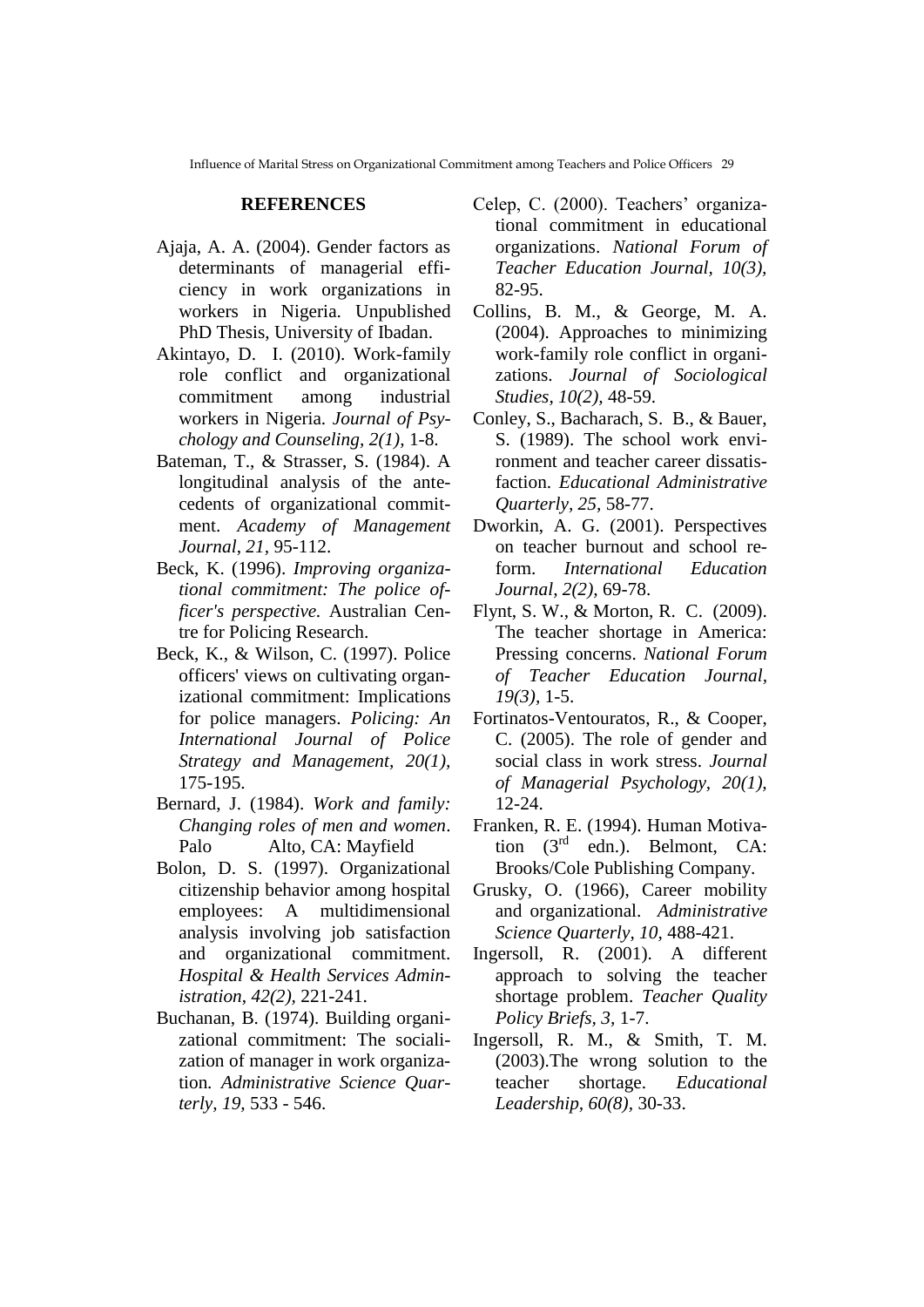### **REFERENCES**

- Ajaja, A. A. (2004). Gender factors as determinants of managerial efficiency in work organizations in workers in Nigeria. Unpublished PhD Thesis, University of Ibadan.
- Akintayo, D. I. (2010). Work-family role conflict and organizational commitment among industrial workers in Nigeria. *Journal of Psychology and Counseling, 2(1),* 1-8.
- Bateman, T., & Strasser, S. (1984). A longitudinal analysis of the antecedents of organizational commitment. *Academy of Management Journal*, *21,* 95-112.
- Beck, K. (1996). *Improving organizational commitment: The police officer's perspective.* Australian Centre for Policing Research.
- Beck, K., & Wilson, C. (1997). Police officers' views on cultivating organizational commitment: Implications for police managers. *Policing: An International Journal of Police Strategy and Management, 20(1),*  175-195.
- Bernard, J. (1984). *Work and family: Changing roles of men and women*. Palo Alto, CA: Mayfield
- Bolon, D. S. (1997). Organizational citizenship behavior among hospital employees: A multidimensional analysis involving job satisfaction and organizational commitment. *Hospital & Health Services Administration*, *42(2),* 221-241.
- Buchanan, B. (1974). Building organizational commitment: The socialization of manager in work organization*. Administrative Science Quarterly, 19,* 533 - 546.
- Celep, C. (2000). Teachers' organizational commitment in educational organizations. *National Forum of Teacher Education Journal, 10(3),*  82-95.
- Collins, B. M., & George, M. A. (2004). Approaches to minimizing work-family role conflict in organizations. *Journal of Sociological Studies, 10(2),* 48-59.
- Conley, S., Bacharach, S. B., & Bauer, S. (1989). The school work environment and teacher career dissatisfaction. *Educational Administrative Quarterly, 25,* 58-77.
- Dworkin, A. G. (2001). Perspectives on teacher burnout and school reform. *International Education Journal, 2(2),* 69-78.
- Flynt, S. W., & Morton, R. C. (2009). The teacher shortage in America: Pressing concerns. *National Forum of Teacher Education Journal, 19(3),* 1-5.
- Fortinatos-Ventouratos, R., & Cooper, C. (2005). The role of gender and social class in work stress. *Journal of Managerial Psychology, 20(1),*  12-24.
- Franken, R. E. (1994). Human Motivation (3<sup>rd</sup> edn.). Belmont, CA: Brooks/Cole Publishing Company.
- Grusky, O. (1966), Career mobility and organizational. *Administrative Science Quarterly, 10,* 488-421.
- Ingersoll, R. (2001). A different approach to solving the teacher shortage problem. *Teacher Quality Policy Briefs, 3,* 1-7.
- Ingersoll, R. M., & Smith, T. M. (2003).The wrong solution to the teacher shortage. *Educational Leadership, 60(8),* 30-33.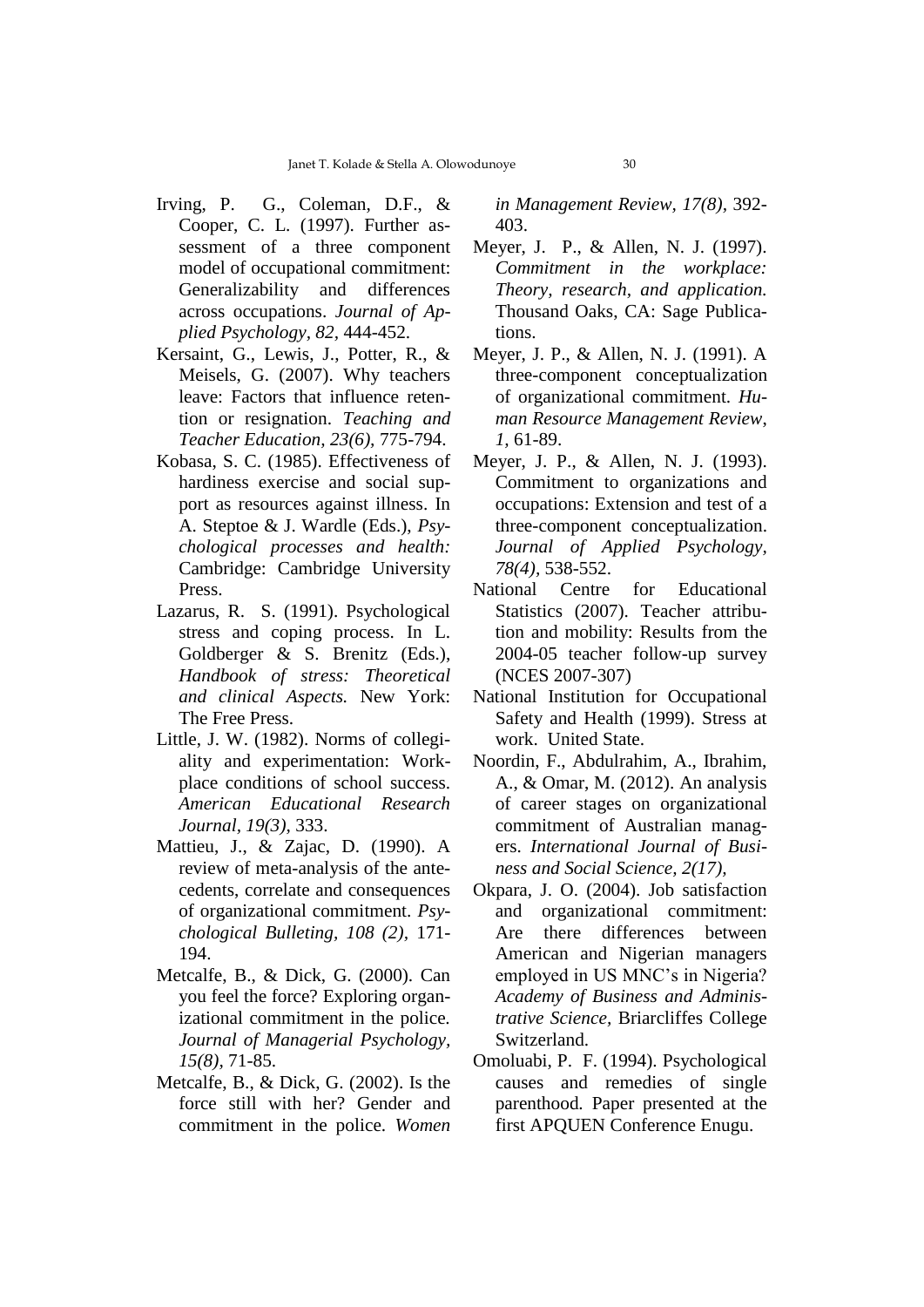- Irving, P. G., Coleman, D.F., & Cooper, C. L. (1997). Further assessment of a three component model of occupational commitment: Generalizability and differences across occupations. *Journal of Applied Psychology, 82,* 444-452.
- Kersaint, G., Lewis, J., Potter, R., & Meisels, G. (2007). Why teachers leave: Factors that influence retention or resignation. *Teaching and Teacher Education, 23(6),* 775-794.
- Kobasa, S. C. (1985). Effectiveness of hardiness exercise and social support as resources against illness. In A. Steptoe & J. Wardle (Eds.), *Psychological processes and health:* Cambridge: Cambridge University Press.
- Lazarus, R. S. (1991). Psychological stress and coping process. In L. Goldberger & S. Brenitz (Eds.), *Handbook of stress: Theoretical and clinical Aspects.* New York: The Free Press.
- Little, J. W. (1982). Norms of collegiality and experimentation: Workplace conditions of school success. *American Educational Research Journal, 19(3),* 333.
- Mattieu, J., & Zajac, D. (1990). A review of meta-analysis of the antecedents, correlate and consequences of organizational commitment. *Psychological Bulleting, 108 (2),* 171- 194.
- Metcalfe, B., & Dick, G. (2000). Can you feel the force? Exploring organizational commitment in the police*. Journal of Managerial Psychology, 15(8),* 71-85.
- Metcalfe, B., & Dick, G. (2002). Is the force still with her? Gender and commitment in the police. *Women*

*in Management Review, 17(8),* 392- 403.

- Meyer, J. P., & Allen, N. J. (1997). *Commitment in the workplace: Theory, research, and application.*  Thousand Oaks, CA: Sage Publications.
- Meyer, J. P., & Allen, N. J. (1991). A three-component conceptualization of organizational commitment. *Human Resource Management Review*, *1,* 61-89.
- Meyer, J. P., & Allen, N. J. (1993). Commitment to organizations and occupations: Extension and test of a three-component conceptualization. *Journal of Applied Psychology, 78(4),* 538-552.
- National Centre for Educational Statistics (2007). Teacher attribution and mobility: Results from the 2004-05 teacher follow-up survey (NCES 2007-307)
- National Institution for Occupational Safety and Health (1999). Stress at work. United State.
- Noordin, F., Abdulrahim, A., Ibrahim, A., & Omar, M. (2012). An analysis of career stages on organizational commitment of Australian managers. *International Journal of Business and Social Science, 2(17),*
- Okpara, J. O. (2004). Job satisfaction and organizational commitment: Are there differences between American and Nigerian managers employed in US MNC's in Nigeria? *Academy of Business and Administrative Science,* Briarcliffes College Switzerland.
- Omoluabi, P. F. (1994). Psychological causes and remedies of single parenthood*.* Paper presented at the first APQUEN Conference Enugu.